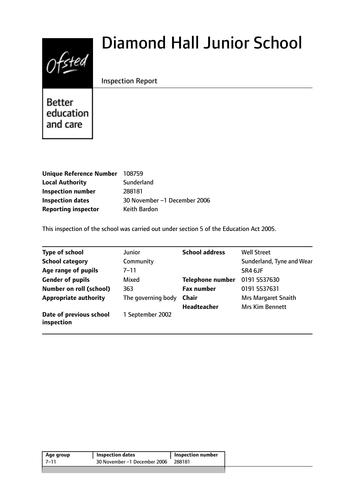# $0$ fsted

# Diamond Hall Junior School

# Inspection Report

**Better** education and care

| Unique Reference Number    | 108759                       |
|----------------------------|------------------------------|
| <b>Local Authority</b>     | Sunderland                   |
| <b>Inspection number</b>   | 288181                       |
| <b>Inspection dates</b>    | 30 November -1 December 2006 |
| <b>Reporting inspector</b> | Keith Bardon                 |

This inspection of the school was carried out under section 5 of the Education Act 2005.

| <b>Type of school</b>                 | <b>Junior</b>      | <b>School address</b>   | <b>Well Street</b>         |
|---------------------------------------|--------------------|-------------------------|----------------------------|
| <b>School category</b>                | Community          |                         | Sunderland, Tyne and Wear  |
| Age range of pupils                   | 7–11               |                         | SR4 6JF                    |
| <b>Gender of pupils</b>               | Mixed              | <b>Telephone number</b> | 0191 5537630               |
| <b>Number on roll (school)</b>        | 363                | <b>Fax number</b>       | 0191 5537631               |
| <b>Appropriate authority</b>          | The governing body | <b>Chair</b>            | <b>Mrs Margaret Snaith</b> |
|                                       |                    | <b>Headteacher</b>      | <b>Mrs Kim Bennett</b>     |
| Date of previous school<br>inspection | 1 September 2002   |                         |                            |

| 30 November -1 December 2006<br>288181 | Age group | Inspection dates | Inspection number |
|----------------------------------------|-----------|------------------|-------------------|
|                                        | 7–11      |                  |                   |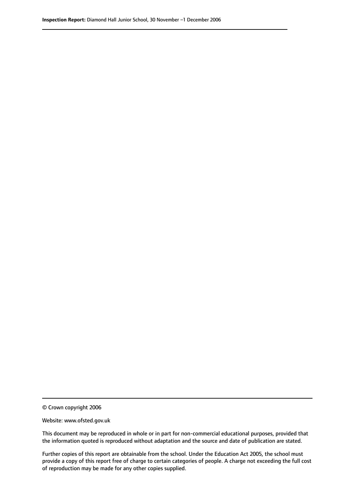© Crown copyright 2006

Website: www.ofsted.gov.uk

This document may be reproduced in whole or in part for non-commercial educational purposes, provided that the information quoted is reproduced without adaptation and the source and date of publication are stated.

Further copies of this report are obtainable from the school. Under the Education Act 2005, the school must provide a copy of this report free of charge to certain categories of people. A charge not exceeding the full cost of reproduction may be made for any other copies supplied.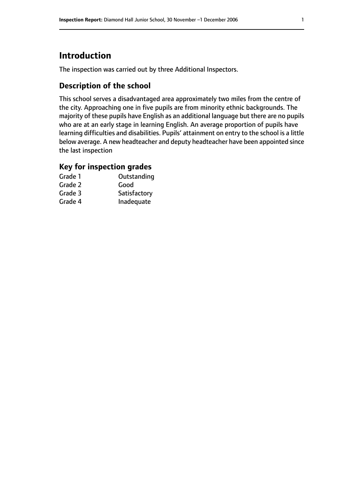# **Introduction**

The inspection was carried out by three Additional Inspectors.

# **Description of the school**

This school serves a disadvantaged area approximately two miles from the centre of the city. Approaching one in five pupils are from minority ethnic backgrounds. The majority of these pupils have English as an additional language but there are no pupils who are at an early stage in learning English. An average proportion of pupils have learning difficulties and disabilities. Pupils' attainment on entry to the school is a little below average. A new headteacher and deputy headteacher have been appointed since the last inspection

# **Key for inspection grades**

| Grade 1 | Outstanding  |
|---------|--------------|
| Grade 2 | Good         |
| Grade 3 | Satisfactory |
| Grade 4 | Inadequate   |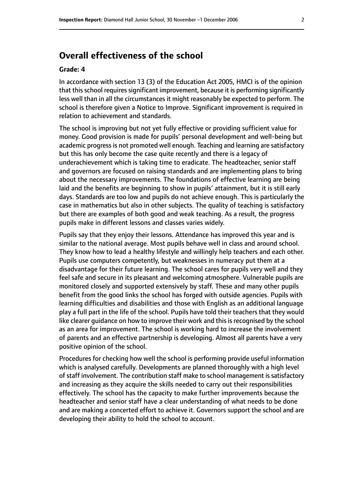# **Overall effectiveness of the school**

#### **Grade: 4**

In accordance with section 13 (3) of the Education Act 2005, HMCI is of the opinion that this school requires significant improvement, because it is performing significantly less well than in all the circumstances it might reasonably be expected to perform. The school is therefore given a Notice to Improve. Significant improvement is required in relation to achievement and standards.

The school is improving but not yet fully effective or providing sufficient value for money. Good provision is made for pupils' personal development and well-being but academic progress is not promoted well enough. Teaching and learning are satisfactory but this has only become the case quite recently and there is a legacy of underachievement which is taking time to eradicate. The headteacher, senior staff and governors are focused on raising standards and are implementing plans to bring about the necessary improvements. The foundations of effective learning are being laid and the benefits are beginning to show in pupils' attainment, but it is still early days. Standards are too low and pupils do not achieve enough. This is particularly the case in mathematics but also in other subjects. The quality of teaching is satisfactory but there are examples of both good and weak teaching. As a result, the progress pupils make in different lessons and classes varies widely.

Pupils say that they enjoy their lessons. Attendance has improved this year and is similar to the national average. Most pupils behave well in class and around school. They know how to lead a healthy lifestyle and willingly help teachers and each other. Pupils use computers competently, but weaknesses in numeracy put them at a disadvantage for their future learning. The school cares for pupils very well and they feel safe and secure in its pleasant and welcoming atmosphere. Vulnerable pupils are monitored closely and supported extensively by staff. These and many other pupils benefit from the good links the school has forged with outside agencies. Pupils with learning difficulties and disabilities and those with English as an additional language play a full part in the life of the school. Pupils have told their teachers that they would like clearer guidance on how to improve their work and this is recognised by the school as an area for improvement. The school is working hard to increase the involvement of parents and an effective partnership is developing. Almost all parents have a very positive opinion of the school.

Procedures for checking how well the school is performing provide useful information which is analysed carefully. Developments are planned thoroughly with a high level of staff involvement. The contribution staff make to school management is satisfactory and increasing as they acquire the skills needed to carry out their responsibilities effectively. The school has the capacity to make further improvements because the headteacher and senior staff have a clear understanding of what needs to be done and are making a concerted effort to achieve it. Governors support the school and are developing their ability to hold the school to account.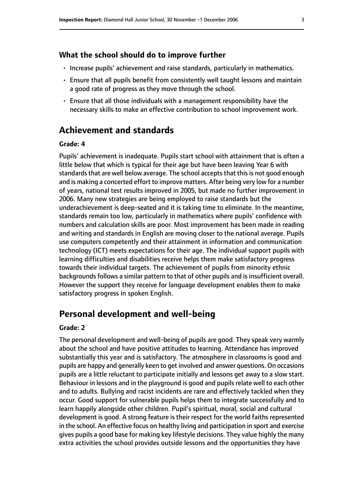#### **What the school should do to improve further**

- Increase pupils' achievement and raise standards, particularly in mathematics.
- Ensure that all pupils benefit from consistently well taught lessons and maintain a good rate of progress as they move through the school.
- Ensure that all those individuals with a management responsibility have the necessary skills to make an effective contribution to school improvement work.

# **Achievement and standards**

#### **Grade: 4**

Pupils' achievement is inadequate. Pupils start school with attainment that is often a little below that which is typical for their age but have been leaving Year 6 with standards that are well below average. The school accepts that this is not good enough and is making a concerted effort to improve matters. After being very low for a number of years, national test results improved in 2005, but made no further improvement in 2006. Many new strategies are being employed to raise standards but the underachievement is deep-seated and it is taking time to eliminate. In the meantime, standards remain too low, particularly in mathematics where pupils' confidence with numbers and calculation skills are poor. Most improvement has been made in reading and writing and standards in English are moving closer to the national average. Pupils use computers competently and their attainment in information and communication technology (ICT) meets expectations for their age. The individual support pupils with learning difficulties and disabilities receive helps them make satisfactory progress towards their individual targets. The achievement of pupils from minority ethnic backgrounds follows a similar pattern to that of other pupils and is insufficient overall. However the support they receive for language development enables them to make satisfactory progress in spoken English.

### **Personal development and well-being**

#### **Grade: 2**

The personal development and well-being of pupils are good. They speak very warmly about the school and have positive attitudes to learning. Attendance has improved substantially this year and is satisfactory. The atmosphere in classrooms is good and pupils are happy and generally keen to get involved and answer questions. On occasions pupils are a little reluctant to participate initially and lessons get away to a slow start. Behaviour in lessons and in the playground is good and pupils relate well to each other and to adults. Bullying and racist incidents are rare and effectively tackled when they occur. Good support for vulnerable pupils helps them to integrate successfully and to learn happily alongside other children. Pupil's spiritual, moral, social and cultural development is good. A strong feature is their respect for the world faiths represented in the school. An effective focus on healthy living and participation in sport and exercise gives pupils a good base for making key lifestyle decisions. They value highly the many extra activities the school provides outside lessons and the opportunities they have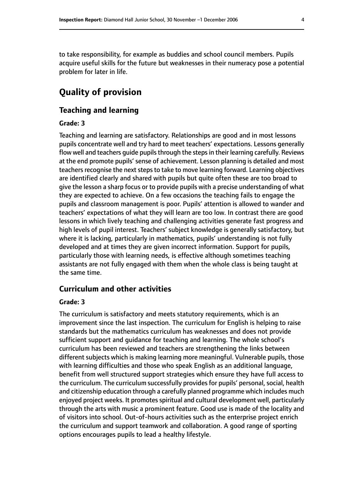to take responsibility, for example as buddies and school council members. Pupils acquire useful skills for the future but weaknesses in their numeracy pose a potential problem for later in life.

# **Quality of provision**

#### **Teaching and learning**

#### **Grade: 3**

Teaching and learning are satisfactory. Relationships are good and in most lessons pupils concentrate well and try hard to meet teachers' expectations. Lessons generally flow well and teachers guide pupils through the steps in their learning carefully. Reviews at the end promote pupils' sense of achievement. Lesson planning is detailed and most teachers recognise the next steps to take to move learning forward. Learning objectives are identified clearly and shared with pupils but quite often these are too broad to give the lesson a sharp focus or to provide pupils with a precise understanding of what they are expected to achieve. On a few occasions the teaching fails to engage the pupils and classroom management is poor. Pupils' attention is allowed to wander and teachers' expectations of what they will learn are too low. In contrast there are good lessons in which lively teaching and challenging activities generate fast progress and high levels of pupil interest. Teachers' subject knowledge is generally satisfactory, but where it is lacking, particularly in mathematics, pupils' understanding is not fully developed and at times they are given incorrect information. Support for pupils, particularly those with learning needs, is effective although sometimes teaching assistants are not fully engaged with them when the whole class is being taught at the same time.

#### **Curriculum and other activities**

#### **Grade: 3**

The curriculum is satisfactory and meets statutory requirements, which is an improvement since the last inspection. The curriculum for English is helping to raise standards but the mathematics curriculum has weaknesses and does not provide sufficient support and guidance for teaching and learning. The whole school's curriculum has been reviewed and teachers are strengthening the links between different subjects which is making learning more meaningful. Vulnerable pupils, those with learning difficulties and those who speak English as an additional language, benefit from well structured support strategies which ensure they have full access to the curriculum. The curriculum successfully provides for pupils' personal, social, health and citizenship education through a carefully planned programme which includes much enjoyed project weeks. It promotes spiritual and cultural development well, particularly through the arts with music a prominent feature. Good use is made of the locality and of visitors into school. Out-of-hours activities such as the enterprise project enrich the curriculum and support teamwork and collaboration. A good range of sporting options encourages pupils to lead a healthy lifestyle.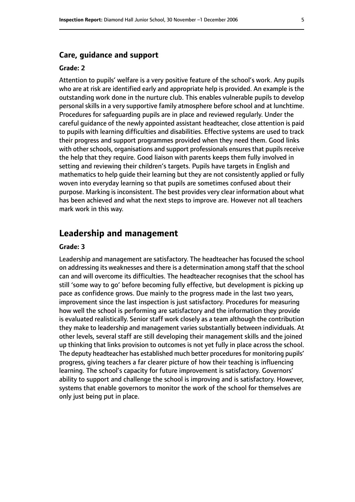#### **Grade: 2**

Attention to pupils' welfare is a very positive feature of the school's work. Any pupils who are at risk are identified early and appropriate help is provided. An example is the outstanding work done in the nurture club. This enables vulnerable pupils to develop personal skills in a very supportive family atmosphere before school and at lunchtime. Procedures for safeguarding pupils are in place and reviewed regularly. Under the careful guidance of the newly appointed assistant headteacher, close attention is paid to pupils with learning difficulties and disabilities. Effective systems are used to track their progress and support programmes provided when they need them. Good links with other schools, organisations and support professionals ensures that pupils receive the help that they require. Good liaison with parents keeps them fully involved in setting and reviewing their children's targets. Pupils have targets in English and mathematics to help guide their learning but they are not consistently applied or fully woven into everyday learning so that pupils are sometimes confused about their purpose. Marking is inconsistent. The best provides very clear information about what has been achieved and what the next steps to improve are. However not all teachers mark work in this way.

# **Leadership and management**

#### **Grade: 3**

Leadership and management are satisfactory. The headteacher has focused the school on addressing its weaknesses and there is a determination among staff that the school can and will overcome its difficulties. The headteacher recognises that the school has still 'some way to go' before becoming fully effective, but development is picking up pace as confidence grows. Due mainly to the progress made in the last two years, improvement since the last inspection is just satisfactory. Procedures for measuring how well the school is performing are satisfactory and the information they provide is evaluated realistically. Senior staff work closely as a team although the contribution they make to leadership and management varies substantially between individuals. At other levels, several staff are still developing their management skills and the joined up thinking that links provision to outcomes is not yet fully in place across the school. The deputy headteacher has established much better procedures for monitoring pupils' progress, giving teachers a far clearer picture of how their teaching is influencing learning. The school's capacity for future improvement is satisfactory. Governors' ability to support and challenge the school is improving and is satisfactory. However, systems that enable governors to monitor the work of the school for themselves are only just being put in place.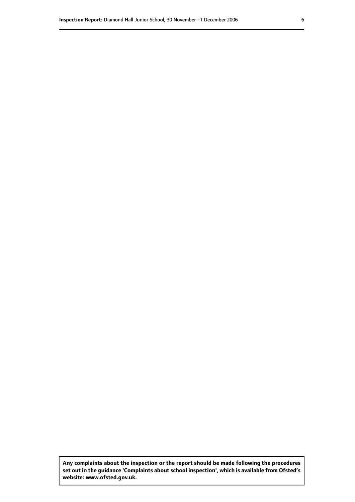**Any complaints about the inspection or the report should be made following the procedures set out inthe guidance 'Complaints about school inspection', whichis available from Ofsted's website: www.ofsted.gov.uk.**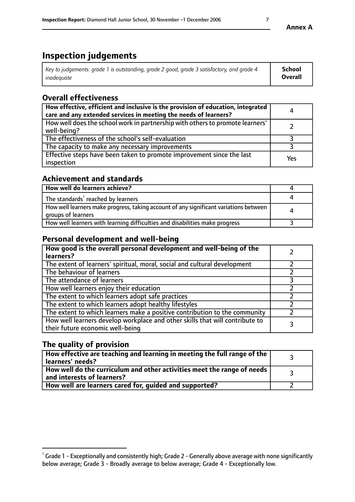# **Inspection judgements**

| Key to judgements: grade 1 is outstanding, grade 2 good, grade 3 satisfactory, and grade 4 | School         |
|--------------------------------------------------------------------------------------------|----------------|
| inadeauate                                                                                 | <b>Overall</b> |

# **Overall effectiveness**

| How effective, efficient and inclusive is the provision of education, integrated<br>care and any extended services in meeting the needs of learners? | 4   |
|------------------------------------------------------------------------------------------------------------------------------------------------------|-----|
| How well does the school work in partnership with others to promote learners'<br>well-being?                                                         |     |
| The effectiveness of the school's self-evaluation                                                                                                    |     |
| The capacity to make any necessary improvements                                                                                                      |     |
| Effective steps have been taken to promote improvement since the last<br>inspection                                                                  | Yes |

# **Achievement and standards**

| How well do learners achieve?                                                                               |   |
|-------------------------------------------------------------------------------------------------------------|---|
| The standards <sup>1</sup> reached by learners                                                              |   |
| How well learners make progress, taking account of any significant variations between<br>groups of learners | 4 |
| How well learners with learning difficulties and disabilities make progress                                 |   |

# **Personal development and well-being**

| How good is the overall personal development and well-being of the<br>learners?                                  |  |
|------------------------------------------------------------------------------------------------------------------|--|
| The extent of learners' spiritual, moral, social and cultural development                                        |  |
| The behaviour of learners                                                                                        |  |
| The attendance of learners                                                                                       |  |
| How well learners enjoy their education                                                                          |  |
| The extent to which learners adopt safe practices                                                                |  |
| The extent to which learners adopt healthy lifestyles                                                            |  |
| The extent to which learners make a positive contribution to the community                                       |  |
| How well learners develop workplace and other skills that will contribute to<br>their future economic well-being |  |

# **The quality of provision**

| How effective are teaching and learning in meeting the full range of the<br>learners' needs?            |  |
|---------------------------------------------------------------------------------------------------------|--|
| How well do the curriculum and other activities meet the range of needs  <br>and interests of learners? |  |
| How well are learners cared for, quided and supported?                                                  |  |

 $^1$  Grade 1 - Exceptionally and consistently high; Grade 2 - Generally above average with none significantly below average; Grade 3 - Broadly average to below average; Grade 4 - Exceptionally low.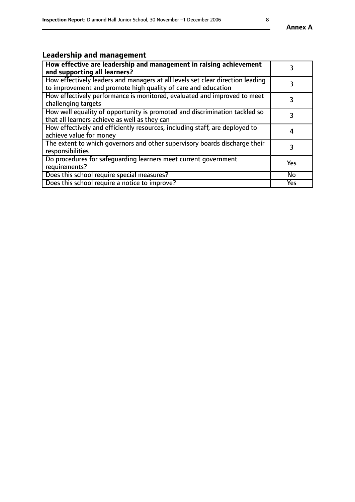# **Leadership and management**

| How effective are leadership and management in raising achievement<br>and supporting all learners?                                              | 3   |
|-------------------------------------------------------------------------------------------------------------------------------------------------|-----|
| How effectively leaders and managers at all levels set clear direction leading<br>to improvement and promote high quality of care and education |     |
| How effectively performance is monitored, evaluated and improved to meet<br>challenging targets                                                 | 3   |
| How well equality of opportunity is promoted and discrimination tackled so<br>that all learners achieve as well as they can                     |     |
| How effectively and efficiently resources, including staff, are deployed to<br>achieve value for money                                          | 4   |
| The extent to which governors and other supervisory boards discharge their<br>responsibilities                                                  | 3   |
| Do procedures for safequarding learners meet current government<br>requirements?                                                                | Yes |
| Does this school require special measures?                                                                                                      | No  |
| Does this school require a notice to improve?                                                                                                   | Yes |